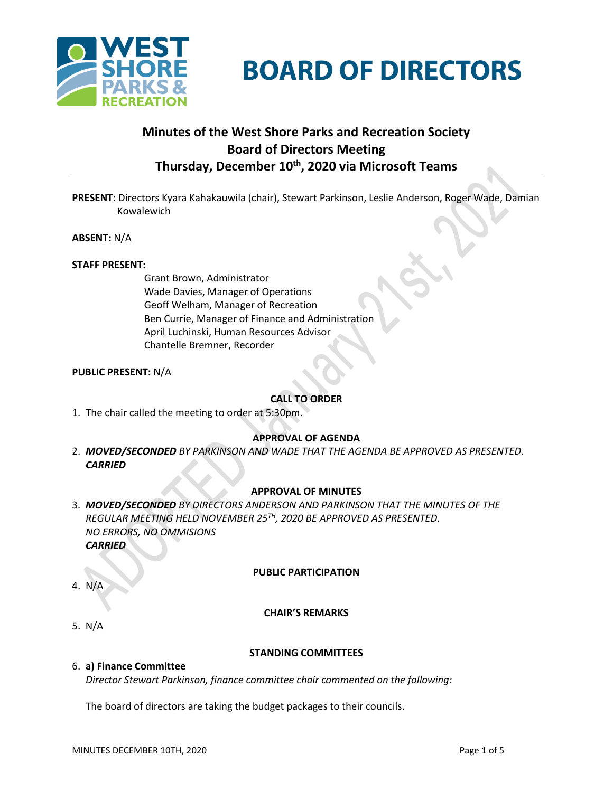



# **Minutes of the West Shore Parks and Recreation Society Board of Directors Meeting Thursday, December 10th , 2020 via Microsoft Teams**

**PRESENT:** Directors Kyara Kahakauwila (chair), Stewart Parkinson, Leslie Anderson, Roger Wade, Damian Kowalewich

**ABSENT:** N/A

#### **STAFF PRESENT:**

Grant Brown, Administrator Wade Davies, Manager of Operations Geoff Welham, Manager of Recreation Ben Currie, Manager of Finance and Administration April Luchinski, Human Resources Advisor Chantelle Bremner, Recorder

#### **PUBLIC PRESENT:** N/A

## **CALL TO ORDER**

1. The chair called the meeting to order at 5:30pm.

## **APPROVAL OF AGENDA**

2. *MOVED/SECONDED BY PARKINSON AND WADE THAT THE AGENDA BE APPROVED AS PRESENTED. CARRIED*

## **APPROVAL OF MINUTES**

3. *MOVED/SECONDED BY DIRECTORS ANDERSON AND PARKINSON THAT THE MINUTES OF THE REGULAR MEETING HELD NOVEMBER 25TH, 2020 BE APPROVED AS PRESENTED. NO ERRORS, NO OMMISIONS CARRIED*

## **PUBLIC PARTICIPATION**

## 4. N/A

## **CHAIR'S REMARKS**

5. N/A

#### **STANDING COMMITTEES**

#### 6. **a) Finance Committee**

*Director Stewart Parkinson, finance committee chair commented on the following:*

The board of directors are taking the budget packages to their councils.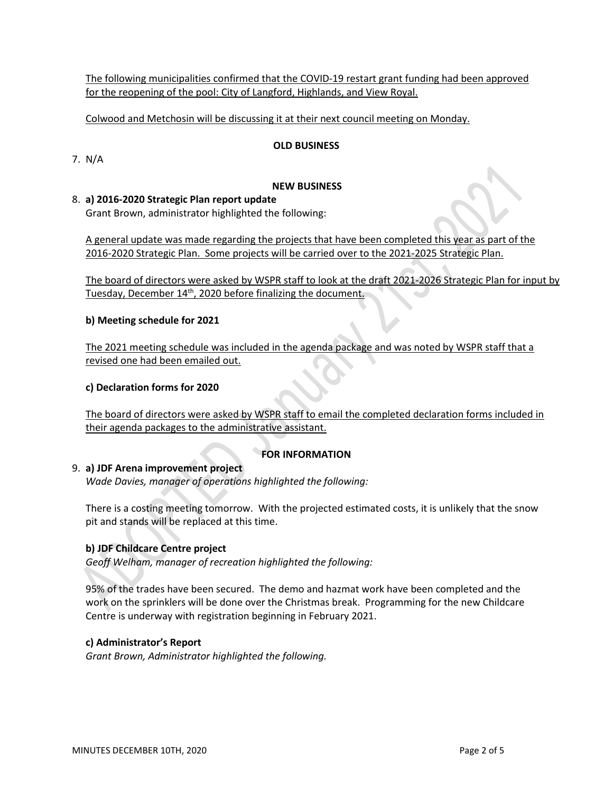The following municipalities confirmed that the COVID-19 restart grant funding had been approved for the reopening of the pool: City of Langford, Highlands, and View Royal.

Colwood and Metchosin will be discussing it at their next council meeting on Monday.

## **OLD BUSINESS**

7. N/A

## **NEW BUSINESS**

## 8. **a) 2016-2020 Strategic Plan report update**

Grant Brown, administrator highlighted the following:

A general update was made regarding the projects that have been completed this year as part of the 2016-2020 Strategic Plan. Some projects will be carried over to the 2021-2025 Strategic Plan.

The board of directors were asked by WSPR staff to look at the draft 2021-2026 Strategic Plan for input by Tuesday, December 14<sup>th</sup>, 2020 before finalizing the document.

#### **b) Meeting schedule for 2021**

The 2021 meeting schedule was included in the agenda package and was noted by WSPR staff that a revised one had been emailed out.

#### **c) Declaration forms for 2020**

The board of directors were asked by WSPR staff to email the completed declaration forms included in their agenda packages to the administrative assistant.

## **FOR INFORMATION**

## 9. **a) JDF Arena improvement project**

*Wade Davies, manager of operations highlighted the following:*

There is a costing meeting tomorrow. With the projected estimated costs, it is unlikely that the snow pit and stands will be replaced at this time.

## **b) JDF Childcare Centre project**

*Geoff Welham, manager of recreation highlighted the following:*

95% of the trades have been secured. The demo and hazmat work have been completed and the work on the sprinklers will be done over the Christmas break. Programming for the new Childcare Centre is underway with registration beginning in February 2021.

## **c) Administrator's Report**

*Grant Brown, Administrator highlighted the following.*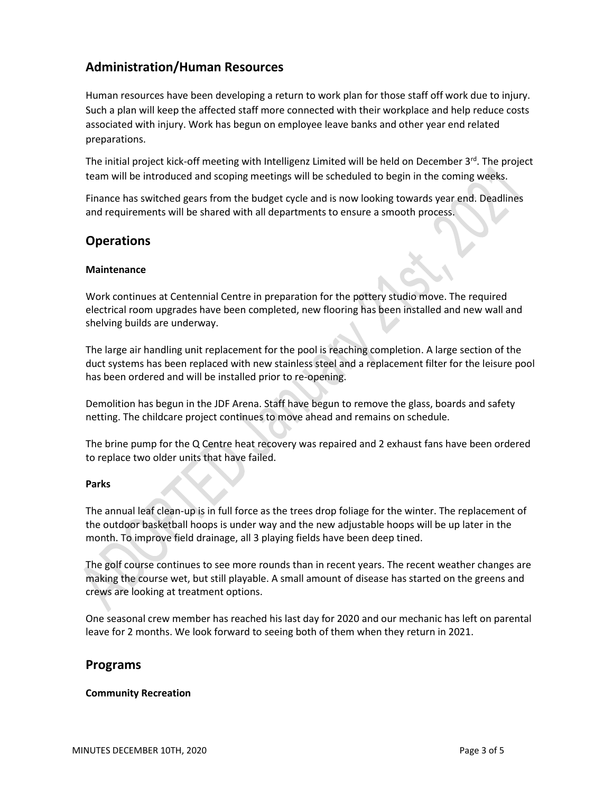## **Administration/Human Resources**

Human resources have been developing a return to work plan for those staff off work due to injury. Such a plan will keep the affected staff more connected with their workplace and help reduce costs associated with injury. Work has begun on employee leave banks and other year end related preparations.

The initial project kick-off meeting with Intelligenz Limited will be held on December  $3^{rd}$ . The project team will be introduced and scoping meetings will be scheduled to begin in the coming weeks.

Finance has switched gears from the budget cycle and is now looking towards year end. Deadlines and requirements will be shared with all departments to ensure a smooth process.

## **Operations**

## **Maintenance**

Work continues at Centennial Centre in preparation for the pottery studio move. The required electrical room upgrades have been completed, new flooring has been installed and new wall and shelving builds are underway.

The large air handling unit replacement for the pool is reaching completion. A large section of the duct systems has been replaced with new stainless steel and a replacement filter for the leisure pool has been ordered and will be installed prior to re-opening.

Demolition has begun in the JDF Arena. Staff have begun to remove the glass, boards and safety netting. The childcare project continues to move ahead and remains on schedule.

The brine pump for the Q Centre heat recovery was repaired and 2 exhaust fans have been ordered to replace two older units that have failed.

#### **Parks**

The annual leaf clean-up is in full force as the trees drop foliage for the winter. The replacement of the outdoor basketball hoops is under way and the new adjustable hoops will be up later in the month. To improve field drainage, all 3 playing fields have been deep tined.

The golf course continues to see more rounds than in recent years. The recent weather changes are making the course wet, but still playable. A small amount of disease has started on the greens and crews are looking at treatment options.

One seasonal crew member has reached his last day for 2020 and our mechanic has left on parental leave for 2 months. We look forward to seeing both of them when they return in 2021.

## **Programs**

#### **Community Recreation**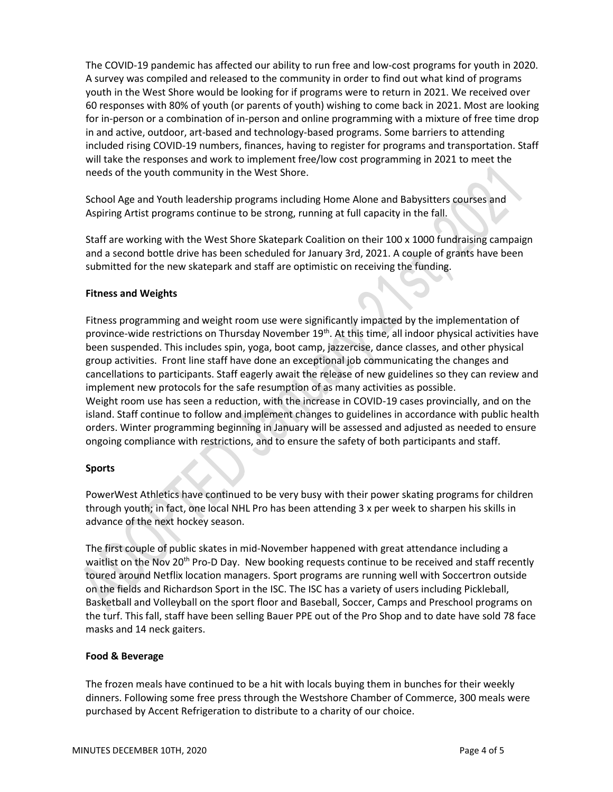The COVID-19 pandemic has affected our ability to run free and low-cost programs for youth in 2020. A survey was compiled and released to the community in order to find out what kind of programs youth in the West Shore would be looking for if programs were to return in 2021. We received over 60 responses with 80% of youth (or parents of youth) wishing to come back in 2021. Most are looking for in-person or a combination of in-person and online programming with a mixture of free time drop in and active, outdoor, art-based and technology-based programs. Some barriers to attending included rising COVID-19 numbers, finances, having to register for programs and transportation. Staff will take the responses and work to implement free/low cost programming in 2021 to meet the needs of the youth community in the West Shore.

School Age and Youth leadership programs including Home Alone and Babysitters courses and Aspiring Artist programs continue to be strong, running at full capacity in the fall.

Staff are working with the West Shore Skatepark Coalition on their 100 x 1000 fundraising campaign and a second bottle drive has been scheduled for January 3rd, 2021. A couple of grants have been submitted for the new skatepark and staff are optimistic on receiving the funding.

## **Fitness and Weights**

Fitness programming and weight room use were significantly impacted by the implementation of province-wide restrictions on Thursday November 19<sup>th</sup>. At this time, all indoor physical activities have been suspended. This includes spin, yoga, boot camp, jazzercise, dance classes, and other physical group activities. Front line staff have done an exceptional job communicating the changes and cancellations to participants. Staff eagerly await the release of new guidelines so they can review and implement new protocols for the safe resumption of as many activities as possible. Weight room use has seen a reduction, with the increase in COVID-19 cases provincially, and on the island. Staff continue to follow and implement changes to guidelines in accordance with public health orders. Winter programming beginning in January will be assessed and adjusted as needed to ensure ongoing compliance with restrictions, and to ensure the safety of both participants and staff.

## **Sports**

PowerWest Athletics have continued to be very busy with their power skating programs for children through youth; in fact, one local NHL Pro has been attending 3 x per week to sharpen his skills in advance of the next hockey season.

The first couple of public skates in mid-November happened with great attendance including a waitlist on the Nov 20<sup>th</sup> Pro-D Day. New booking requests continue to be received and staff recently toured around Netflix location managers. Sport programs are running well with Soccertron outside on the fields and Richardson Sport in the ISC. The ISC has a variety of users including Pickleball, Basketball and Volleyball on the sport floor and Baseball, Soccer, Camps and Preschool programs on the turf. This fall, staff have been selling Bauer PPE out of the Pro Shop and to date have sold 78 face masks and 14 neck gaiters.

## **Food & Beverage**

The frozen meals have continued to be a hit with locals buying them in bunches for their weekly dinners. Following some free press through the Westshore Chamber of Commerce, 300 meals were purchased by Accent Refrigeration to distribute to a charity of our choice.